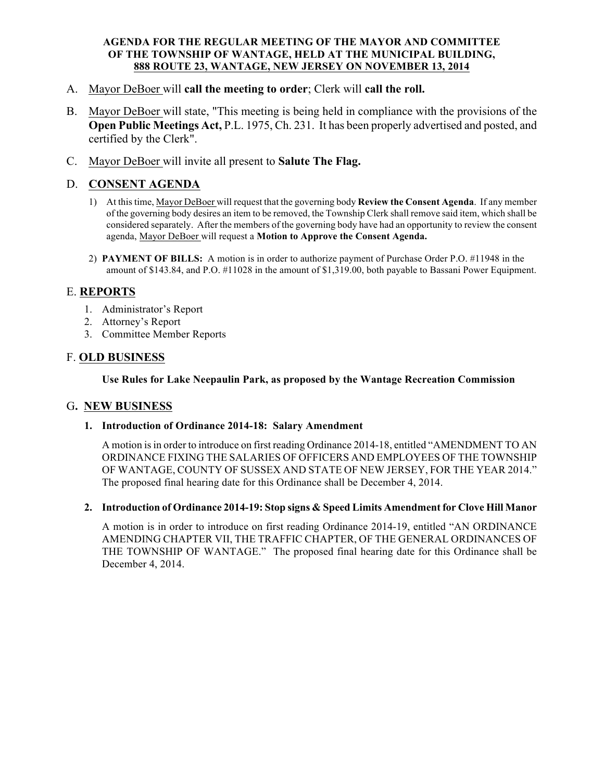### **AGENDA FOR THE REGULAR MEETING OF THE MAYOR AND COMMITTEE OF THE TOWNSHIP OF WANTAGE, HELD AT THE MUNICIPAL BUILDING, 888 ROUTE 23, WANTAGE, NEW JERSEY ON NOVEMBER 13, 2014**

- A. Mayor DeBoer will **call the meeting to order**; Clerk will **call the roll.**
- B. Mayor DeBoer will state, "This meeting is being held in compliance with the provisions of the **Open Public Meetings Act,** P.L. 1975, Ch. 231. It has been properly advertised and posted, and certified by the Clerk".
- C. Mayor DeBoer will invite all present to **Salute The Flag.**

# D. **CONSENT AGENDA**

- 1) At this time, Mayor DeBoer will request that the governing body **Review the Consent Agenda**. If any member of the governing body desires an item to be removed, the Township Clerk shall remove said item, which shall be considered separately. After the members of the governing body have had an opportunity to review the consent agenda, Mayor DeBoer will request a **Motion to Approve the Consent Agenda.**
- 2) **PAYMENT OF BILLS:** A motion is in order to authorize payment of Purchase Order P.O. #11948 in the amount of \$143.84, and P.O. #11028 in the amount of \$1,319.00, both payable to Bassani Power Equipment.

## E. **REPORTS**

- 1. Administrator's Report
- 2. Attorney's Report
- 3. Committee Member Reports

## F. **OLD BUSINESS**

**Use Rules for Lake Neepaulin Park, as proposed by the Wantage Recreation Commission**

### G**. NEW BUSINESS**

### **1. Introduction of Ordinance 2014-18: Salary Amendment**

A motion is in order to introduce on first reading Ordinance 2014-18, entitled "AMENDMENT TO AN ORDINANCE FIXING THE SALARIES OF OFFICERS AND EMPLOYEES OF THE TOWNSHIP OF WANTAGE, COUNTY OF SUSSEX AND STATE OF NEW JERSEY, FOR THE YEAR 2014." The proposed final hearing date for this Ordinance shall be December 4, 2014.

#### **2. Introduction of Ordinance 2014-19: Stop signs & Speed Limits Amendment for Clove Hill Manor**

A motion is in order to introduce on first reading Ordinance 2014-19, entitled "AN ORDINANCE AMENDING CHAPTER VII, THE TRAFFIC CHAPTER, OF THE GENERAL ORDINANCES OF THE TOWNSHIP OF WANTAGE." The proposed final hearing date for this Ordinance shall be December 4, 2014.